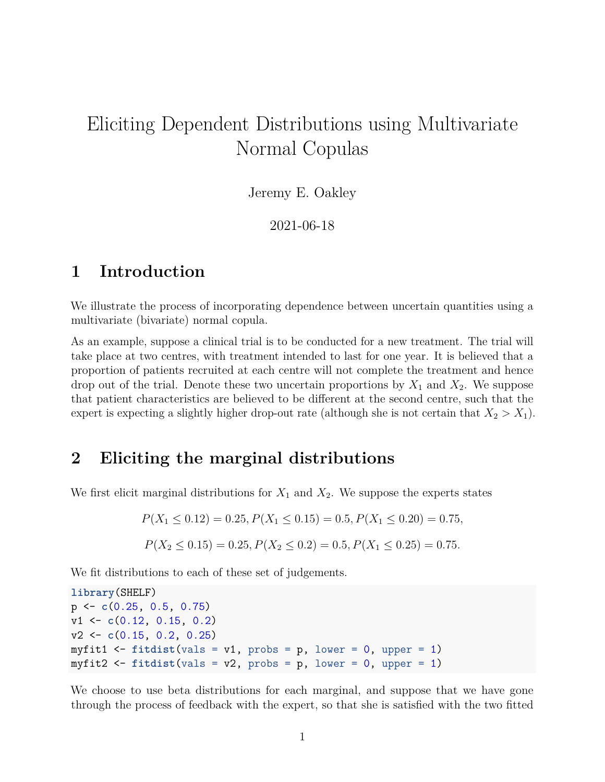# Eliciting Dependent Distributions using Multivariate Normal Copulas

Jeremy E. Oakley

2021-06-18

### **1 Introduction**

We illustrate the process of incorporating dependence between uncertain quantities using a multivariate (bivariate) normal copula.

As an example, suppose a clinical trial is to be conducted for a new treatment. The trial will take place at two centres, with treatment intended to last for one year. It is believed that a proportion of patients recruited at each centre will not complete the treatment and hence drop out of the trial. Denote these two uncertain proportions by  $X_1$  and  $X_2$ . We suppose that patient characteristics are believed to be different at the second centre, such that the expert is expecting a slightly higher drop-out rate (although she is not certain that  $X_2 > X_1$ ).

### **2 Eliciting the marginal distributions**

We first elicit marginal distributions for  $X_1$  and  $X_2$ . We suppose the experts states

$$
P(X_1 \le 0.12) = 0.25, P(X_1 \le 0.15) = 0.5, P(X_1 \le 0.20) = 0.75,
$$
  

$$
P(X_2 \le 0.15) = 0.25, P(X_2 \le 0.2) = 0.5, P(X_1 \le 0.25) = 0.75.
$$

We fit distributions to each of these set of judgements.

**library**(SHELF) p <- **c**(0.25, 0.5, 0.75) v1 <- **c**(0.12, 0.15, 0.2) v2 <- **c**(0.15, 0.2, 0.25) myfit1  $\le$  fitdist(vals = v1, probs = p, lower = 0, upper = 1) myfit2  $\leftarrow$  fitdist(vals = v2, probs = p, lower = 0, upper = 1)

We choose to use beta distributions for each marginal, and suppose that we have gone through the process of feedback with the expert, so that she is satisfied with the two fitted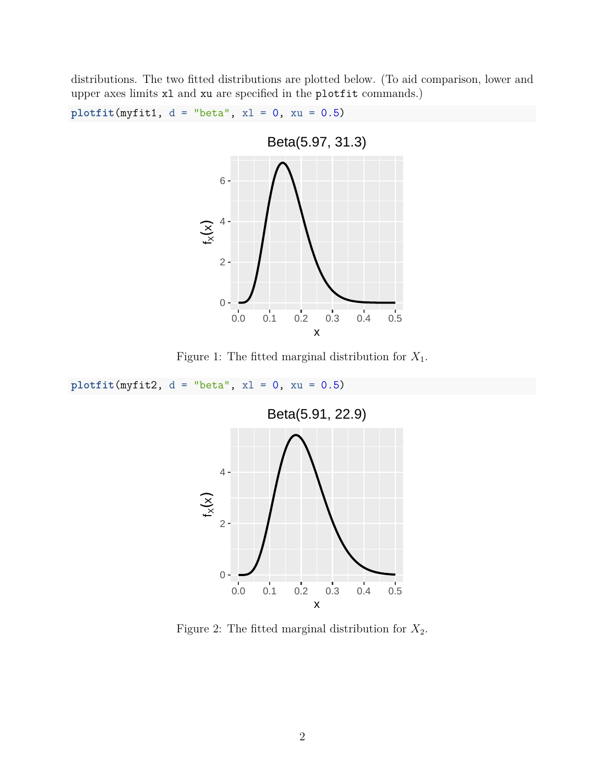distributions. The two fitted distributions are plotted below. (To aid comparison, lower and upper axes limits xl and xu are specified in the plotfit commands.)

 $plotfit(myfit1, d = "beta", x1 = 0, xu = 0.5)$ 



Figure 1: The fitted marginal distribution for *X*1.

 $plotfit(myfit2, d = "beta", x1 = 0, xu = 0.5)$ 



Figure 2: The fitted marginal distribution for  $X_2$ .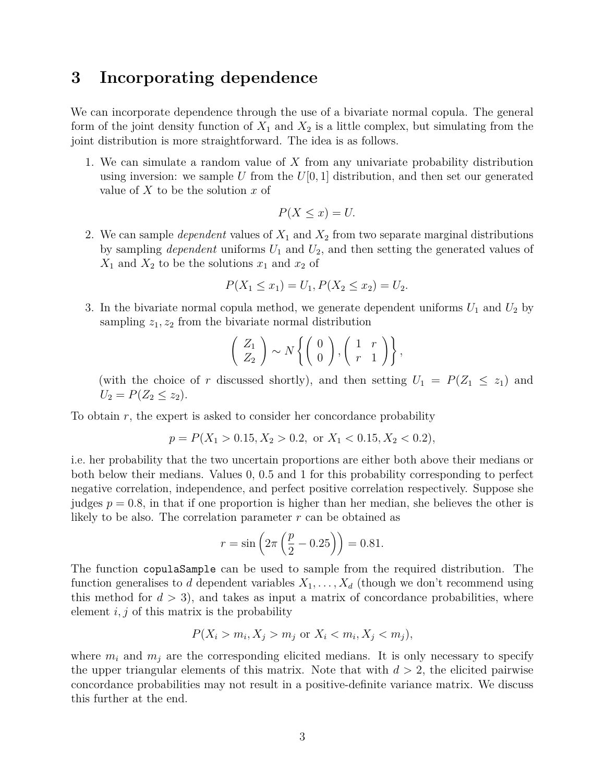### **3 Incorporating dependence**

We can incorporate dependence through the use of a bivariate normal copula. The general form of the joint density function of  $X_1$  and  $X_2$  is a little complex, but simulating from the joint distribution is more straightforward. The idea is as follows.

1. We can simulate a random value of *X* from any univariate probability distribution using inversion: we sample U from the  $U[0, 1]$  distribution, and then set our generated value of *X* to be the solution *x* of

$$
P(X \le x) = U.
$$

2. We can sample *dependent* values of *X*<sup>1</sup> and *X*<sup>2</sup> from two separate marginal distributions by sampling *dependent* uniforms *U*<sup>1</sup> and *U*2, and then setting the generated values of  $X_1$  and  $X_2$  to be the solutions  $x_1$  and  $x_2$  of

$$
P(X_1 \le x_1) = U_1, P(X_2 \le x_2) = U_2.
$$

3. In the bivariate normal copula method, we generate dependent uniforms  $U_1$  and  $U_2$  by sampling  $z_1, z_2$  from the bivariate normal distribution

$$
\left(\begin{array}{c} Z_1 \\ Z_2 \end{array}\right) \sim N \left\{ \left(\begin{array}{c} 0 \\ 0 \end{array}\right), \left(\begin{array}{cc} 1 & r \\ r & 1 \end{array}\right) \right\},\
$$

(with the choice of *r* discussed shortly), and then setting  $U_1 = P(Z_1 \leq z_1)$  and  $U_2 = P(Z_2 \leq z_2)$ .

To obtain *r*, the expert is asked to consider her concordance probability

$$
p = P(X_1 > 0.15, X_2 > 0.2, \text{ or } X_1 < 0.15, X_2 < 0.2),
$$

i.e. her probability that the two uncertain proportions are either both above their medians or both below their medians. Values 0, 0.5 and 1 for this probability corresponding to perfect negative correlation, independence, and perfect positive correlation respectively. Suppose she judges  $p = 0.8$ , in that if one proportion is higher than her median, she believes the other is likely to be also. The correlation parameter *r* can be obtained as

$$
r = \sin\left(2\pi\left(\frac{p}{2} - 0.25\right)\right) = 0.81.
$$

The function copulaSample can be used to sample from the required distribution. The function generalises to *d* dependent variables  $X_1, \ldots, X_d$  (though we don't recommend using this method for  $d > 3$ , and takes as input a matrix of concordance probabilities, where element *i, j* of this matrix is the probability

$$
P(X_i > m_i, X_j > m_j \text{ or } X_i < m_i, X_j < m_j),
$$

where  $m_i$  and  $m_j$  are the corresponding elicited medians. It is only necessary to specify the upper triangular elements of this matrix. Note that with  $d > 2$ , the elicited pairwise concordance probabilities may not result in a positive-definite variance matrix. We discuss this further at the end.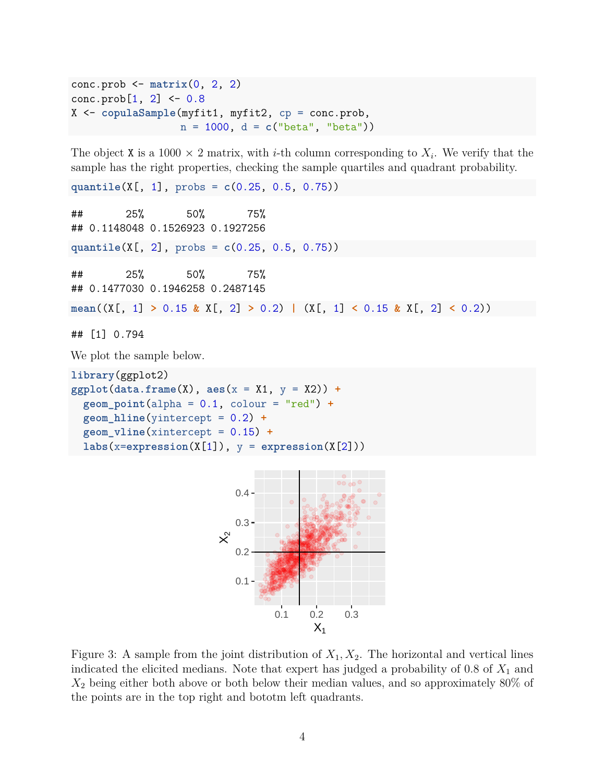```
conc.prob <- matrix(0, 2, 2)
cone.prob[1, 2] < -0.8X <- copulaSample(myfit1, myfit2, cp = conc.prob,
                  n = 1000, d = c("beta", "beta"))
```
The object X is a 1000  $\times$  2 matrix, with *i*-th column corresponding to  $X_i$ . We verify that the sample has the right properties, checking the sample quartiles and quadrant probability.

**quantile**(X[, 1], probs = **c**(0.25, 0.5, 0.75))

```
## 25% 50% 75%
## 0.1148048 0.1526923 0.1927256
quantile(X[, 2], probs = c(0.25, 0.5, 0.75))
## 25% 50% 75%
## 0.1477030 0.1946258 0.2487145
mean((X[, 1] > 0.15 & X[, 2] > 0.2) | (X[, 1] < 0.15 & X[, 2] < 0.2))
## [1] 0.794
```
We plot the sample below.

```
library(ggplot2)
ggplot(data.frame(X), aes(x = X1, y = X2)) +
  geom_point(alpha = 0.1, colour = "red") +
  geom_hline(yintercept = 0.2) +
  geom_vline(xintercept = 0.15) +
  \text{labs}(x = \text{expression}(X[1]), y = \text{expression}(X[2]))
```


Figure 3: A sample from the joint distribution of  $X_1, X_2$ . The horizontal and vertical lines indicated the elicited medians. Note that expert has judged a probability of 0.8 of *X*<sup>1</sup> and *X*<sup>2</sup> being either both above or both below their median values, and so approximately 80% of the points are in the top right and bototm left quadrants.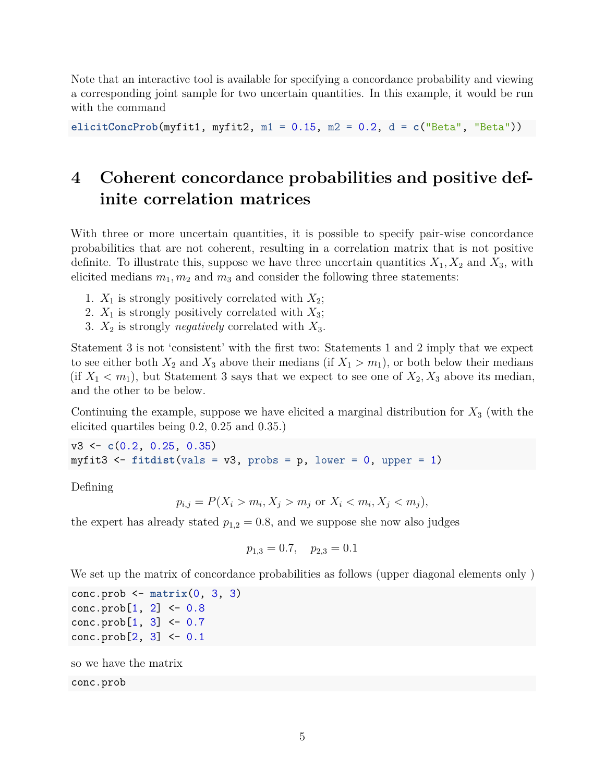Note that an interactive tool is available for specifying a concordance probability and viewing a corresponding joint sample for two uncertain quantities. In this example, it would be run with the command

**elicitConcProb**(myfit1, myfit2, m1 = 0.15, m2 = 0.2, d = **c**("Beta", "Beta"))

## **4 Coherent concordance probabilities and positive definite correlation matrices**

With three or more uncertain quantities, it is possible to specify pair-wise concordance probabilities that are not coherent, resulting in a correlation matrix that is not positive definite. To illustrate this, suppose we have three uncertain quantities  $X_1, X_2$  and  $X_3$ , with elicited medians  $m_1, m_2$  and  $m_3$  and consider the following three statements:

- 1.  $X_1$  is strongly positively correlated with  $X_2$ ;
- 2.  $X_1$  is strongly positively correlated with  $X_3$ ;
- 3. *X*<sup>2</sup> is strongly *negatively* correlated with *X*3.

Statement 3 is not 'consistent' with the first two: Statements 1 and 2 imply that we expect to see either both  $X_2$  and  $X_3$  above their medians (if  $X_1 > m_1$ ), or both below their medians  $(f \, X_1 \langle m_1 \rangle)$ , but Statement 3 says that we expect to see one of  $X_2, X_3$  above its median, and the other to be below.

Continuing the example, suppose we have elicited a marginal distribution for *X*<sup>3</sup> (with the elicited quartiles being 0.2, 0.25 and 0.35.)

v3 <- **c**(0.2, 0.25, 0.35) myfit3  $\le$  fitdist(vals = v3, probs = p, lower = 0, upper = 1)

Defining

$$
p_{i,j} = P(X_i > m_i, X_j > m_j \text{ or } X_i < m_i, X_j < m_j),
$$

the expert has already stated  $p_{1,2} = 0.8$ , and we suppose she now also judges

$$
p_{1,3} = 0.7, \quad p_{2,3} = 0.1
$$

We set up the matrix of concordance probabilities as follows (upper diagonal elements only)

```
conc.prob <- matrix(0, 3, 3)
conc.prob[1, 2] < -0.8conc.prob[1, 3] <- 0.7
conc.prob[2, 3] <- 0.1
```

```
so we have the matrix
```
#### conc.prob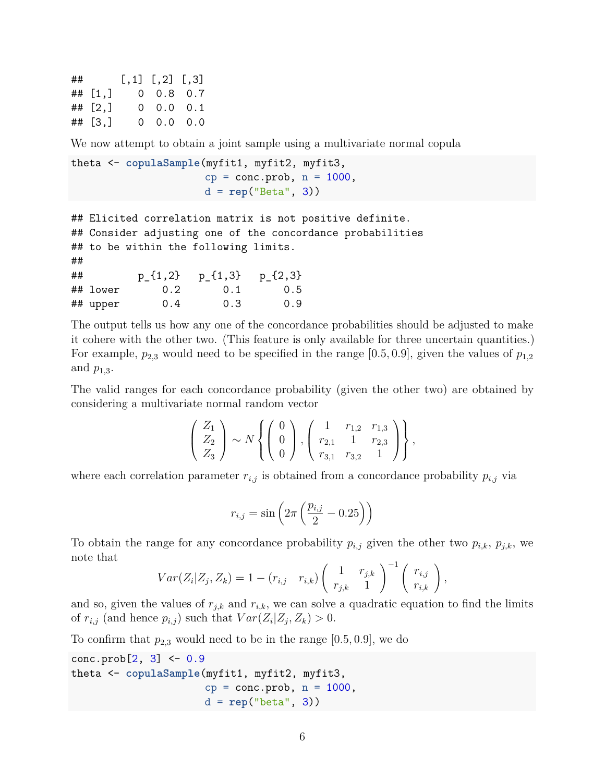## [,1] [,2] [,3] ## [1,] 0 0.8 0.7  $\#$   $[2,]$  0 0.0 0.1 ## [3,] 0 0.0 0.0

We now attempt to obtain a joint sample using a multivariate normal copula

```
theta <- copulaSample(myfit1, myfit2, myfit3,
                      cp = conc.prob, n = 1000,d = rep("Beta", 3))
```
## Elicited correlation matrix is not positive definite. ## Consider adjusting one of the concordance probabilities ## to be within the following limits. ## ## p\_{1,2} p\_{1,3} p\_{2,3} ## lower 0.2 0.1 0.5 ## upper 0.4 0.3 0.9

The output tells us how any one of the concordance probabilities should be adjusted to make it cohere with the other two. (This feature is only available for three uncertain quantities.) For example,  $p_{2,3}$  would need to be specified in the range [0.5, 0.9], given the values of  $p_{1,2}$ and *p*1*,*3.

The valid ranges for each concordance probability (given the other two) are obtained by considering a multivariate normal random vector

$$
\begin{pmatrix} Z_1 \\ Z_2 \\ Z_3 \end{pmatrix} \sim N \left\{ \begin{pmatrix} 0 \\ 0 \\ 0 \end{pmatrix}, \begin{pmatrix} 1 & r_{1,2} & r_{1,3} \\ r_{2,1} & 1 & r_{2,3} \\ r_{3,1} & r_{3,2} & 1 \end{pmatrix} \right\},\,
$$

where each correlation parameter  $r_{i,j}$  is obtained from a concordance probability  $p_{i,j}$  via

$$
r_{i,j} = \sin\left(2\pi \left(\frac{p_{i,j}}{2} - 0.25\right)\right)
$$

To obtain the range for any concordance probability  $p_{i,j}$  given the other two  $p_{i,k}$ ,  $p_{j,k}$ , we note that

$$
Var(Z_i|Z_j, Z_k) = 1 - (r_{i,j} \ r_{i,k}) \begin{pmatrix} 1 & r_{j,k} \\ r_{j,k} & 1 \end{pmatrix}^{-1} \begin{pmatrix} r_{i,j} \\ r_{i,k} \end{pmatrix},
$$

and so, given the values of  $r_{j,k}$  and  $r_{i,k}$ , we can solve a quadratic equation to find the limits of  $r_{i,j}$  (and hence  $p_{i,j}$ ) such that  $Var(Z_i | Z_j, Z_k) > 0$ .

To confirm that  $p_{2,3}$  would need to be in the range  $[0.5, 0.9]$ , we do

 $conc.prob[2, 3] < -0.9$ theta <- **copulaSample**(myfit1, myfit2, myfit3,  $cp = conc.prob, n = 1000,$ d = **rep**("beta", 3))